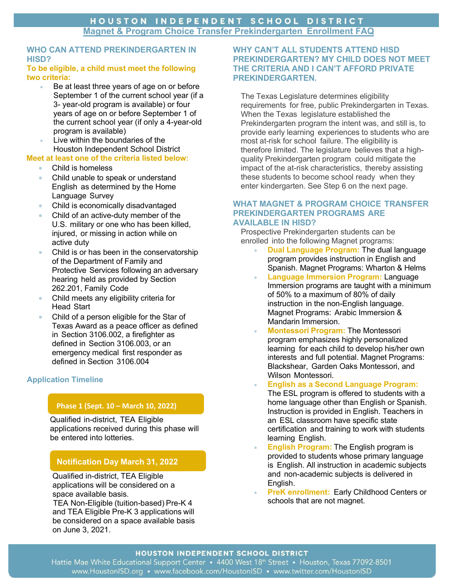# **WHO CAN ATTEND PREKINDERGARTEN IN HISD?**

### **To be eligible, a child must meet the following two criteria:**

- Be at least three years of age on or before September 1 of the current school year (if a 3- year-old program is available) or four years of age on or before September 1 of the current school year (if only a 4-year-old program is available)
- Live within the boundaries of the Houston Independent School District

# **Meet at least one of the criteria listed below:**

- Child is homeless
- Child unable to speak or understand English as determined by the Home Language Survey
- Child is economically disadvantaged
- Child of an active-duty member of the U.S. military or one who has been killed, injured, or missing in action while on active duty
- Child is or has been in the conservatorship of the Department of Family and Protective Services following an adversary hearing held as provided by Section 262.201, Family Code
- Child meets any eligibility criteria for Head Start
- Child of a person eligible for the Star of Texas Award as a peace officer as defined in Section 3106.002, a firefighter as defined in Section 3106.003, or an emergency medical first responder as defined in Section 3106.004

# **Application Timeline**

# **Phase 1 (Sept. 10 – March 10, 2022)**

Qualified in-district, TEA Eligible applications received during this phase will be entered into lotteries.

# **Notification Day March 31, 2022**

Qualified in-district, TEA Eligible applications will be considered on a space available basis.

TEA Non-Eligible (tuition-based) Pre-K 4 and TEA Eligible Pre-K 3 applications will be considered on a space available basis on June 3, 2021.

# **WHY CAN'T ALL STUDENTS ATTEND HISD PREKINDERGARTEN? MY CHILD DOES NOT MEET THE CRITERIA AND I CAN'T AFFORD PRIVATE PREKINDERGARTEN.**

The Texas Legislature determines eligibility requirements for free, public Prekindergarten in Texas. When the Texas legislature established the Prekindergarten program the intent was, and still is, to provide early learning experiences to students who are most at-risk for school failure. The eligibility is therefore limited. The legislature believes that a highquality Prekindergarten program could mitigate the impact of the at-risk characteristics, thereby assisting these students to become school ready when they enter kindergarten. See Step 6 on the next page.

### **WHAT MAGNET & PROGRAM CHOICE TRANSFER PREKINDERGARTEN PROGRAMS ARE AVAILABLE IN HISD?**

Prospective Prekindergarten students can be enrolled into the following Magnet programs:

- **Dual Language Program:** The dual language program provides instruction in English and Spanish. Magnet Programs: Wharton & Helms
- **Language Immersion Program:** Language Immersion programs are taught with a minimum of 50% to a maximum of 80% of daily instruction in the non-English language. Magnet Programs: Arabic Immersion & Mandarin Immersion.
- **Montessori Program:** The Montessori program emphasizes highly personalized learning for each child to develop his/her own interests and full potential. Magnet Programs: Blackshear, Garden Oaks Montessori, and Wilson Montessori.
- **English as a Second Language Program:** The ESL program is offered to students with a home language other than English or Spanish. Instruction is provided in English. Teachers in an ESL classroom have specific state certification and training to work with students learning English.
- **English Program:** The English program is provided to students whose primary language is English. All instruction in academic subjects and non-academic subjects is delivered in English.
- **PreK enrollment:** Early Childhood Centers or schools that are not magnet.

# HOUSTON INDEPENDENT SCHOOL DISTRICT

Hattie Mae White Educational Support Center • 4400 West 18th Street • Houston, Texas 77092-8501 www.HoustonISD.org • www.facebook.com/HoustonISD • www.twitter.com/HoustonISD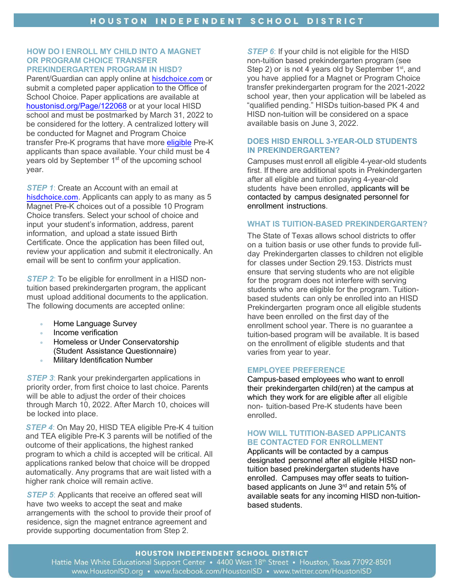#### **HOW DO I ENROLL MY CHILD INTO A MAGNET OR PROGRAM CHOICE TRANSFER PREKINDERGARTEN PROGRAM IN HISD?**

Parent/Guardian can apply online at [hisdchoice.com](http://hisdchoice.com/) or submit a completed paper application to the Office of School Choice. Paper applications are available at [houstonisd.org/Page/122068](https://www.houstonisd.org/Page/122068) or at your local HISD school and must be postmarked by March 31, 2022 to be considered for the lottery. A centralized lottery will be conducted for Magnet and Program Choice transfer Pre-K programs that have more [eligible](https://tea.texas.gov/ece/eligibility.aspx) Pre-K applicants than space available. Your child must be 4 years old by September 1<sup>st</sup> of the upcoming school year.

*STEP 1*: Create an Account with an email at [hisdchoice.com](http://hisdchoice.com/). Applicants can apply to as many as 5 Magnet Pre-K choices out of a possible 10 Program Choice transfers. Select your school of choice and input your student's information, address, parent information, and upload a state issued Birth Certificate. Once the application has been filled out, review your application and submit it electronically. An email will be sent to confirm your application.

*STEP 2*: To be eligible for enrollment in a HISD nontuition based prekindergarten program, the applicant must upload additional documents to the application. The following documents are accepted online:

- Home Language Survey
- Income verification
- Homeless or Under Conservatorship (Student Assistance Questionnaire)
- **Military Identification Number**

*STEP 3*: Rank your prekindergarten applications in priority order, from first choice to last choice. Parents will be able to adjust the order of their choices through March 10, 2022. After March 10, choices will be locked into place.

*STEP 4*: On May 20, HISD TEA eligible Pre-K 4 tuition and TEA eligible Pre-K 3 parents will be notified of the outcome of their applications, the highest ranked program to which a child is accepted will be critical. All applications ranked below that choice will be dropped automatically. Any programs that are wait listed with a higher rank choice will remain active.

*STEP 5:* Applicants that receive an offered seat will have two weeks to accept the seat and make arrangements with the school to provide their proof of residence, sign the magnet entrance agreement and provide supporting documentation from Step 2.

**STEP 6:** If your child is not eligible for the HISD non-tuition based prekindergarten program (see Step 2) or is not 4 years old by September 1<sup>st</sup>, and you have applied for a Magnet or Program Choice transfer prekindergarten program for the 2021-2022 school year, then your application will be labeled as "qualified pending." HISDs tuition-based PK 4 and HISD non-tuition will be considered on a space available basis on June 3, 2022.

## **DOES HISD ENROLL 3-YEAR-OLD STUDENTS IN PREKINDERGARTEN?**

Campuses must enroll all eligible 4-year-old students first. If there are additional spots in Prekindergarten after all eligible and tuition paying 4-year-old students have been enrolled, applicants will be contacted by campus designated personnel for enrollment instructions.

# **WHAT IS TUITION-BASED PREKINDERGARTEN?**

The State of Texas allows school districts to offer on a tuition basis or use other funds to provide fullday Prekindergarten classes to children not eligible for classes under Section 29.153. Districts must ensure that serving students who are not eligible for the program does not interfere with serving students who are eligible for the program. Tuitionbased students can only be enrolled into an HISD Prekindergarten program once all eligible students have been enrolled on the first day of the enrollment school year. There is no guarantee a tuition-based program will be available. It is based on the enrollment of eligible students and that varies from year to year.

#### **EMPLOYEE PREFERENCE**

Campus-based employees who want to enroll their prekindergarten child(ren) at the campus at which they work for are eligible after all eligible non- tuition-based Pre-K students have been enrolled.

# **HOW WILL TUTITION-BASED APPLICANTS BE CONTACTED FOR ENROLLMENT**

Applicants will be contacted by a campus designated personnel after all eligible HISD nontuition based prekindergarten students have enrolled. Campuses may offer seats to tuitionbased applicants on June 3rd and retain 5% of available seats for any incoming HISD non-tuitionbased students.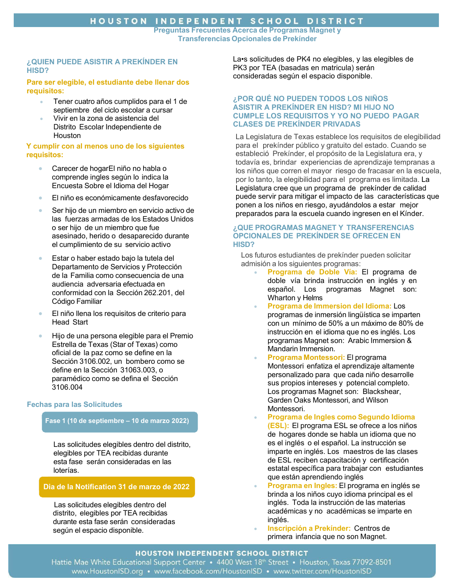**Preguntas Frecuentes Acerca de Programas Magnet y Transferencias Opcionales de Prekínder**

### **¿QUIEN PUEDE ASISTIR A PREKÍNDER EN HISD?**

#### **Pare ser elegible, el estudiante debe llenar dos requisitos:**

- Tener cuatro años cumplidos para el 1 de septiembre del ciclo escolar a cursar
- Vivir en la zona de asistencia del Distrito Escolar Independiente de **Houston**

#### **Y cumplir con al menos uno de los siguientes requisitos:**

- Carecer de hogarEl niño no habla o comprende ingles según lo indica la Encuesta Sobre el Idioma del Hogar
- El niño es económicamente desfavorecido
- Ser hijo de un miembro en servicio activo de las fuerzas armadas de los Estados Unidos o ser hijo de un miembro que fue asesinado, herido o desaparecido durante el cumplimiento de su servicio activo
- Estar o haber estado bajo la tutela del Departamento de Servicios y Protección de la Familia como consecuencia de una audiencia adversaria efectuada en conformidad con la Sección 262.201, del Código Familiar
- El niño llena los requisitos de criterio para Head Start
- Hijo de una persona elegible para el Premio Estrella de Texas (Star of Texas) como oficial de la paz como se define en la Sección 3106.002, un bombero como se define en la Sección 31063.003, o paramédico como se defina el Sección 3106.004

## **Fechas para las Solicitudes**

## **Fase 1 (10 de septiembre – 10 de marzo 2022)**

Las solicitudes elegibles dentro del distrito, elegibles por TEA recibidas durante esta fase serán consideradas en las loterías.

## **Dia de la Notification 31 de marzo de 2022**

Las solicitudes elegibles dentro del distrito, elegibles por TEA recibidas durante esta fase serán consideradas según el espacio disponible.

La•s solicitudes de PK4 no elegibles, y las elegibles de PK3 por TEA (basadas en matricula) serán consideradas según el espacio disponible.

### **¿POR QUÉ NO PUEDEN TODOS LOS NIÑOS ASISTIR A PREKÍNDER EN HISD? MI HIJO NO CUMPLE LOS REQUISITOS Y YO NO PUEDO PAGAR CLASES DE PREKÍNDER PRIVADAS**

La Legislatura de Texas establece los requisitos de elegibilidad para el prekínder público y gratuito del estado. Cuando se estableció Prekínder, el propósito de la Legislatura era, y todavía es, brindar experiencias de aprendizaje tempranas a los niños que corren el mayor riesgo de fracasar en la escuela, por lo tanto, la elegibilidad para el programa es limitada. La Legislatura cree que un programa de prekínder de calidad puede servir para mitigar el impacto de las características que ponen a los niños en riesgo, ayudándolos a estar mejor preparados para la escuela cuando ingresen en el Kínder.

#### **¿QUE PROGRAMAS MAGNET Y TRANSFERENCIAS OPCIONALES DE PREKÍNDER SE OFRECEN EN HISD?**

Los futuros estudiantes de prekínder pueden solicitar admisión a los siguientes programas:

- **Programa de Doble Vía:** El programa de doble vía brinda instrucción en inglés y en español. Los programas Magnet son: Wharton y Helms
- **Programa de Immersion del Idioma:** Los programas de inmersión lingüística se imparten con un mínimo de 50% a un máximo de 80% de instrucción en el idioma que no es inglés. Los programas Magnet son: Arabic Immersion & Mandarin Immersion.
- **Programa Montessori:** El programa Montessori enfatiza el aprendizaje altamente personalizado para que cada niño desarrolle sus propios intereses y potencial completo. Los programas Magnet son: Blackshear, Garden Oaks Montessori, and Wilson Montessori.
- **Programa de Ingles como Segundo Idioma (ESL):** El programa ESL se ofrece a los niños de hogares donde se habla un idioma que no es el inglés o el español. La instrucción se imparte en inglés. Los maestros de las clases de ESL reciben capacitación y certificación estatal específica para trabajar con estudiantes que están aprendiendo inglés
- **Programa en Ingles:** El programa en inglés se brinda a los niños cuyo idioma principal es el inglés. Toda la instrucción de las materias académicas y no académicas se imparte en inglés.
- **Inscripción a Prekínder:** Centros de primera infancia que no son Magnet.

## HOUSTON INDEPENDENT SCHOOL DISTRICT

Hattie Mae White Educational Support Center • 4400 West 18th Street • Houston, Texas 77092-8501 www.HoustonISD.org • www.facebook.com/HoustonISD • www.twitter.com/HoustonISD